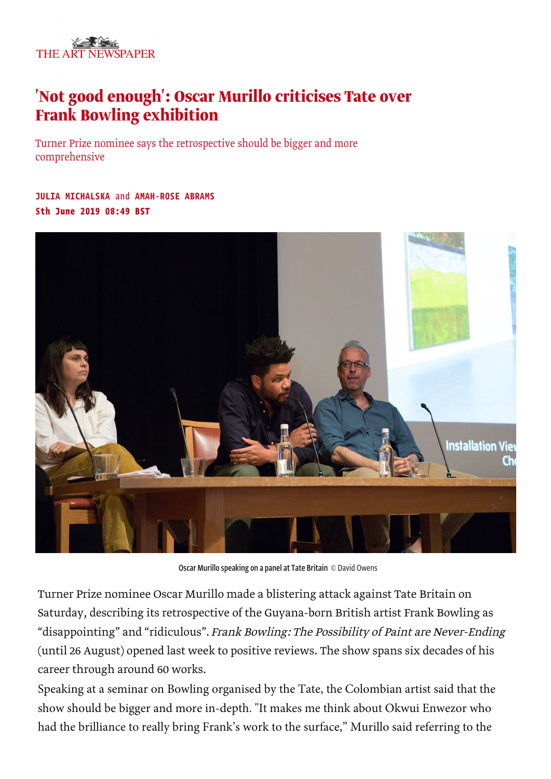

## 'Not good enough': Oscar Murillo criticises Tate over **Frank Bowling exhibition**

Turner Prize nominee says the retrospective should be bigger and more comprehensive

JULIA MICHALSKA and AMAH-ROSE ABRAMS 5th June 2019 08:49 BST



Oscar Murillo speaking on a panel at Tate Britain © David Owens

Turner Prize nominee Oscar Murillo made a blistering attack against Tate Britain on Saturday, describing its retrospective of the Guyana-born British artist Frank Bowling as "disappointing" and "ridiculous". Frank Bowling: The Possibility of Paint are Never-Ending (until 26 August) opened last week to positive reviews. The show spans six decades of his career through around 60 works.

Speaking at a seminar on Bowling organised by the Tate, the Colombian artist said that the show should be bigger and more in-depth. "It m[akes](http://profile.theartnewspaper.com/) me think about Okwui Enwezor who had the brilliance to really bring Frank's work to the surface," Murillo said referring to the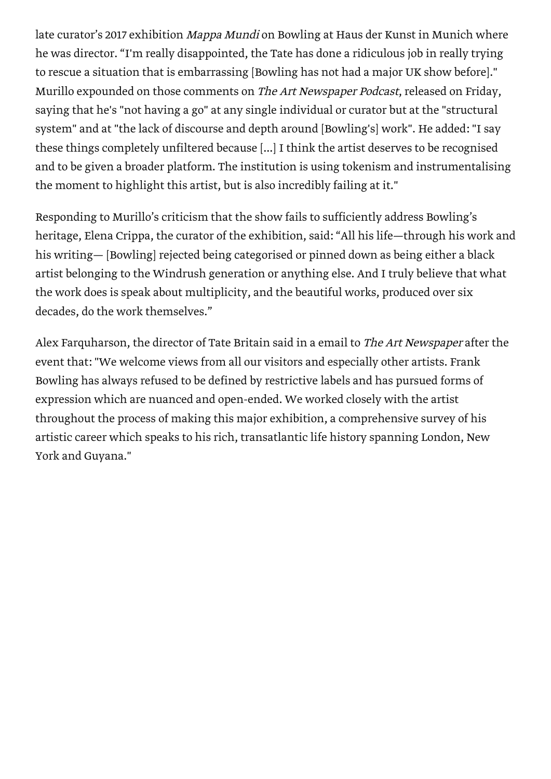late curator's 2017 exhibition Mappa Mundi on Bowling at Haus der Kunst in Munich where he was director. "I'm really disappointed, the Tate has done a ridiculous job in really trying to rescue a situation that is embarrassing [Bowling has not had a major UK show before]." Murillo expounded on those comments on The Art Newspaper Podcast, released on Friday, saying that he's "not having a go" at any single individual or curator but at the "structural system" and at "the lack of discourse and depth around [Bowling's] work". He added: "I say these things completely unfiltered because [...] I think the artist deserves to be recognised and to be given a broader platform. The institution is using tokenism and instrumentalising the moment to highlight this artist, but is also incredibly failing at it."

Responding to Murillo's criticism that the show fails to sufficiently address Bowling's heritage, Elena Crippa, the curator of the exhibition, said: "All his life—through his work and his writing— [Bowling] rejected being categorised or pinned down as being either a black artist belonging to the Windrush generation or anything else. And I truly believe that what the work does is speak about multiplicity, and the beautiful works, produced over six decades, do the work themselves."

Alex Farquharson, the director of Tate Britain said in a email to The Art Newspaper after the event that: "We welcome views from all our visitors and especially other artists. Frank Bowling has always refused to be defined by restrictive labels and has pursued forms of expression which are nuanced and open-ended. We worked closely with the artist throughout the process of making this major exhibition, a comprehensive survey of his artistic career which speaks to his rich, transatlantic life history spanning London, New York and Guyana."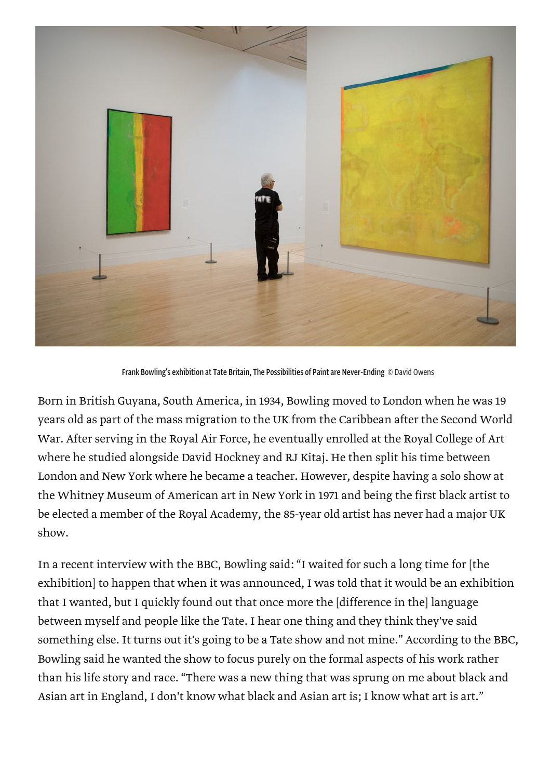

Frank Bowling's exhibition at Tate Britain, The Possibilities of Paint are Never-Ending © David Owens

Born in British Guyana, South America, in 1934, Bowling moved to London when he was 19 years old as part of the mass migration to the UK from the Caribbean after the Second World War. After serving in the Royal Air Force, he eventually enrolled at the Royal College of Art where he studied alongside David Hockney and RJ Kitaj. He then split his time between London and New York where he became a teacher. However, despite having a solo show at the Whitney Museum of American art in New York in 1971 and being the first black artist to be elected a member of the Royal Academy, the 85-year old artist has never had a major UK show.

In a recent interview with the BBC, Bowling said: "I waited for such a long time for [the exhibition] to happen that when it was announced, I was told that it would be an exhibition that I wanted, but I quickly found out that once more the [difference in the] language between myself and people like the Tate. I hear one thing and they think they've said something else. It turns out it's going to be a Tate show and not mine." According to the BBC, Bowling said he wanted the show to focus purely on the formal aspects of his work rather than his life story and race. "There was a new thing that was sprung on me about black and Asian art in England, I don't know what black and Asian art is; I know what art is art."